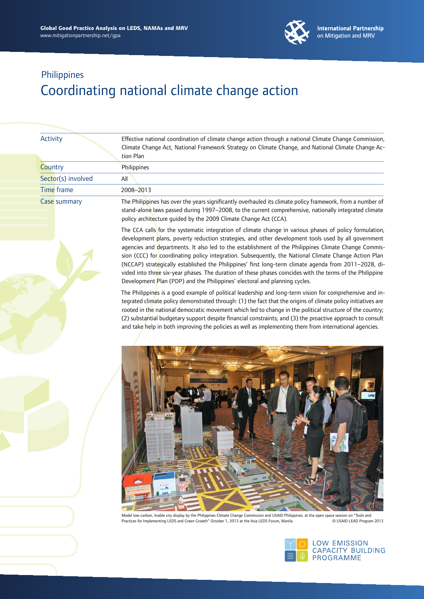

| <b>Activity</b>     | Effective national coordination of climate change action through a national Climate Change Commission,<br>Climate Change Act, National Framework Strategy on Climate Change, and National Climate Change Ac-<br>tion Plan                                                               |
|---------------------|-----------------------------------------------------------------------------------------------------------------------------------------------------------------------------------------------------------------------------------------------------------------------------------------|
| Country             | <b>Philippines</b>                                                                                                                                                                                                                                                                      |
| Sector(s) involved  | All                                                                                                                                                                                                                                                                                     |
| Time frame          | 2008-2013                                                                                                                                                                                                                                                                               |
| <b>Case summary</b> | The Philippines has over the years significantly overhauled its climate policy framework, from a number of<br>stand-alone laws passed during 1997-2008, to the current comprehensive, nationally integrated climate<br>policy architecture guided by the 2009 Climate Change Act (CCA). |
|                     | The CCA calls for the systematic integration of climate change in various phases of policy formulation,                                                                                                                                                                                 |

development plans, poverty reduction strategies, and other development tools used by all government agencies and departments. It also led to the establishment of the Philippines Climate Change Commission (CCC) for coordinating policy integration. Subsequently, the National Climate Change Action Plan (NCCAP) strategically established the Philippines' first long-term climate agenda from 2011–2028, divided into three six-year phases. The duration of these phases coincides with the terms of the Philippine Development Plan (PDP) and the Philippines' electoral and planning cycles.

The Philippines is a good example of political leadership and long-term vision for comprehensive and integrated climate policy demonstrated through: (1) the fact that the origins of climate policy initiatives are rooted in the national democratic movement which led to change in the political structure of the country; (2) substantial budgetary support despite financial constraints; and (3) the proactive approach to consult and take help in both improving the policies as well as implementing them from international agencies.



Model low-carbon, livable city display by the Philippines Climate Change Commission and USAID Philippines, at the open space session on "Tools and<br>Practices for Implementing LEDS and Green Growth" October 1, 2013 at the As Practices for Implementing LEDS and Green Growth" October 1, 2013 at the Asia LEDS Forum, Manila.

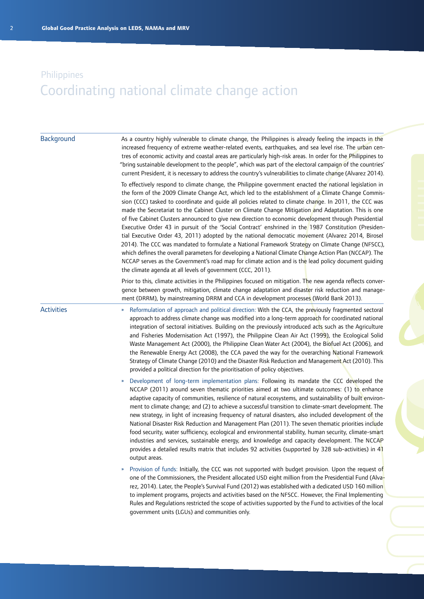| Background        | As a country highly vulnerable to climate change, the Philippines is already feeling the impacts in the<br>increased frequency of extreme weather-related events, earthquakes, and sea level rise. The urban cen-<br>tres of economic activity and coastal areas are particularly high-risk areas. In order for the Philippines to<br>"bring sustainable development to the people", which was part of the electoral campaign of the countries'<br>current President, it is necessary to address the country's vulnerabilities to climate change (Alvarez 2014).                                                                                                                                                                                                                                                                                                                                                                                                                                                                                                                                                                             |
|-------------------|----------------------------------------------------------------------------------------------------------------------------------------------------------------------------------------------------------------------------------------------------------------------------------------------------------------------------------------------------------------------------------------------------------------------------------------------------------------------------------------------------------------------------------------------------------------------------------------------------------------------------------------------------------------------------------------------------------------------------------------------------------------------------------------------------------------------------------------------------------------------------------------------------------------------------------------------------------------------------------------------------------------------------------------------------------------------------------------------------------------------------------------------|
|                   | To effectively respond to climate change, the Philippine government enacted the national legislation in<br>the form of the 2009 Climate Change Act, which led to the establishment of a Climate Change Commis-<br>sion (CCC) tasked to coordinate and guide all policies related to climate change. In 2011, the CCC was<br>made the Secretariat to the Cabinet Cluster on Climate Change Mitigation and Adaptation. This is one<br>of five Cabinet Clusters announced to give new direction to economic development through Presidential<br>Executive Order 43 in pursuit of the 'Social Contract' enshrined in the 1987 Constitution (Presiden-<br>tial Executive Order 43, 2011) adopted by the national democratic movement (Alvarez 2014, Birosel<br>2014). The CCC was mandated to formulate a National Framework Strategy on Climate Change (NFSCC),<br>which defines the overall parameters for developing a National Climate Change Action Plan (NCCAP). The<br>NCCAP serves as the Government's road map for climate action and is the lead policy document guiding<br>the climate agenda at all levels of government (CCC, 2011). |
|                   | Prior to this, climate activities in the Philippines focused on mitigation. The new agenda reflects conver-<br>gence between growth, mitigation, climate change adaptation and disaster risk reduction and manage-<br>ment (DRRM), by mainstreaming DRRM and CCA in development processes (World Bank 2013).                                                                                                                                                                                                                                                                                                                                                                                                                                                                                                                                                                                                                                                                                                                                                                                                                                 |
| <b>Activities</b> | Reformulation of approach and political direction: With the CCA, the previously fragmented sectoral<br>$\pmb{\mathcal{Y}}$<br>approach to address climate change was modified into a long-term approach for coordinated national<br>integration of sectoral initiatives. Building on the previously introduced acts such as the Agriculture<br>and Fisheries Modernisation Act (1997), the Philippine Clean Air Act (1999), the Ecological Solid<br>Waste Management Act (2000), the Philippine Clean Water Act (2004), the Biofuel Act (2006), and<br>the Renewable Energy Act (2008), the CCA paved the way for the overarching National Framework<br>Strategy of Climate Change (2010) and the Disaster Risk Reduction and Management Act (2010). This<br>provided a political direction for the prioritisation of policy objectives.                                                                                                                                                                                                                                                                                                     |
|                   | Development of long-term implementation plans: Following its mandate the CCC developed the<br>NCCAP (2011) around seven thematic priorities aimed at two ultimate outcomes: (1) to enhance<br>adaptive capacity of communities, resilience of natural ecosystems, and sustainability of built environ-<br>ment to climate change; and (2) to achieve a successful transition to climate-smart development. The<br>new strategy, in light of increasing frequency of natural disasters, also included development of the<br>National Disaster Risk Reduction and Management Plan (2011). The seven thematic priorities include<br>food security, water sufficiency, ecological and environmental stability, human security, climate-smart<br>industries and services, sustainable energy, and knowledge and capacity development. The NCCAP<br>provides a detailed results matrix that includes 92 activities (supported by 328 sub-activities) in $41$<br>output areas.                                                                                                                                                                      |
|                   | Provision of funds: Initially, the CCC was not supported with budget provision. Upon the request of<br>$\boldsymbol{\mathcal{V}}$<br>one of the Commissioners, the President allocated USD eight million from the Presidential Fund (Alva-<br>rez, 2014). Later, the People's Survival Fund (2012) was established with a dedicated USD 160 million<br>to implement programs, projects and activities based on the NFSCC. However, the Final Implementing<br>Rules and Regulations restricted the scope of activities supported by the Fund to activities of the local<br>government units (LGUs) and communities only.                                                                                                                                                                                                                                                                                                                                                                                                                                                                                                                      |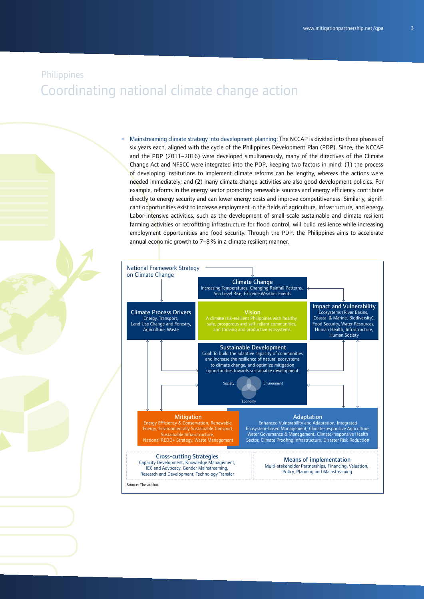» Mainstreaming climate strategy into development planning: The NCCAP is divided into three phases of six years each, aligned with the cycle of the Philippines Development Plan (PDP). Since, the NCCAP and the PDP (2011–2016) were developed simultaneously, many of the directives of the Climate Change Act and NFSCC were integrated into the PDP, keeping two factors in mind: (1) the process of developing institutions to implement climate reforms can be lengthy, whereas the actions were needed immediately; and (2) many climate change activities are also good development policies. For example, reforms in the energy sector promoting renewable sources and energy efficiency contribute directly to energy security and can lower energy costs and improve competitiveness. Similarly, significant opportunities exist to increase employment in the fields of agriculture, infrastructure, and energy. Labor-intensive activities, such as the development of small-scale sustainable and climate resilient farming activities or retrofitting infrastructure for flood control, will build resilience while increasing employment opportunities and food security. Through the PDP, the Philippines aims to accelerate annual economic growth to 7-8% in a climate resilient manner.

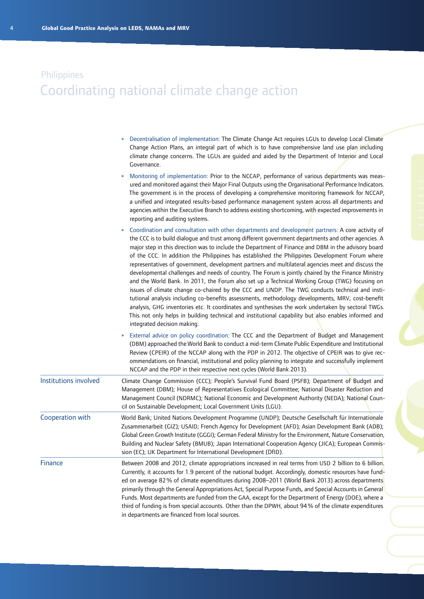|                       | Decentralisation of implementation: The Climate Change Act requires LGUs to develop Local Climate<br>Change Action Plans, an integral part of which is to have comprehensive land use plan including<br>climate change concerns. The LGUs are guided and aided by the Department of Interior and Local<br>Governance.                                                                                                                                                                                                                                                                                                                                                                                                                                                                                                                                                                                                                                                                                                                                                                                                                                                                                               |  |
|-----------------------|---------------------------------------------------------------------------------------------------------------------------------------------------------------------------------------------------------------------------------------------------------------------------------------------------------------------------------------------------------------------------------------------------------------------------------------------------------------------------------------------------------------------------------------------------------------------------------------------------------------------------------------------------------------------------------------------------------------------------------------------------------------------------------------------------------------------------------------------------------------------------------------------------------------------------------------------------------------------------------------------------------------------------------------------------------------------------------------------------------------------------------------------------------------------------------------------------------------------|--|
|                       | Monitoring of implementation: Prior to the NCCAP, performance of various departments was meas-<br>ured and monitored against their Major Final Outputs using the Organisational Performance Indicators.<br>The government is in the process of developing a comprehensive monitoring framework for NCCAP,<br>a unified and integrated results-based performance management system across all departments and<br>agencies within the Executive Branch to address existing shortcoming, with expected improvements in<br>reporting and auditing systems.                                                                                                                                                                                                                                                                                                                                                                                                                                                                                                                                                                                                                                                              |  |
|                       | Coordination and consultation with other departments and development partners: A core activity of<br>$\boldsymbol{\mathcal{V}}$<br>the CCC is to build dialogue and trust among different government departments and other agencies. A<br>major step in this direction was to include the Department of Finance and DBM in the advisory board<br>of the CCC. In addition the Philippines has established the Philippines Development Forum where<br>representatives of government, development partners and multilateral agencies meet and discuss the<br>developmental challenges and needs of country. The Forum is jointly chaired by the Finance Ministry<br>and the World Bank. In 2011, the Forum also set up a Technical Working Group (TWG) focusing on<br>issues of climate change co-chaired by the CCC and UNDP. The TWG conducts technical and insti-<br>tutional analysis including co-benefits assessments, methodology developments, MRV, cost-benefit<br>analysis, GHG inventories etc. It coordinates and synthesises the work undertaken by sectoral TWGs.<br>This not only helps in building technical and institutional capability but also enables informed and<br>integrated decision making. |  |
|                       | External advice on policy coordination: The CCC and the Department of Budget and Management<br>$\boldsymbol{\mathcal{V}}$<br>(DBM) approached the World Bank to conduct a mid-term Climate Public Expenditure and Institutional<br>Review (CPEIR) of the NCCAP along with the PDP in 2012. The objective of CPEIR was to give rec-<br>ommendations on financial, institutional and policy planning to integrate and successfully implement<br>NCCAP and the PDP in their respective next cycles (World Bank 2013).                                                                                                                                                                                                                                                                                                                                                                                                                                                                                                                                                                                                                                                                                                  |  |
| Institutions involved | Climate Change Commission (CCC); People's Survival Fund Board (PSFB); Department of Budget and<br>Management (DBM); House of Representatives Ecological Committee; National Disaster Reduction and<br>Management Council (NDRMC); National Economic and Development Authority (NEDA); National Coun-<br>cil on Sustainable Development; Local Government Units (LGU).                                                                                                                                                                                                                                                                                                                                                                                                                                                                                                                                                                                                                                                                                                                                                                                                                                               |  |
| Cooperation with      | World Bank; United Nations Development Programme (UNDP); Deutsche Gesellschaft für Internationale<br>Zusammenarbeit (GIZ); USAID; French Agency for Development (AFD); Asian Development Bank (ADB);<br>Global Green Growth Institute (GGGI); German Federal Ministry for the Environment, Nature Conservation,<br>Building and Nuclear Safety (BMUB); Japan International Cooperation Agency (JICA); European Commis-<br>sion (EC); UK Department for International Development (DfID).                                                                                                                                                                                                                                                                                                                                                                                                                                                                                                                                                                                                                                                                                                                            |  |
| Finance               | Between 2008 and 2012, climate appropriations increased in real terms from USD 2 billion to 6 billion.<br>Currently, it accounts for 1.9 percent of the national budget. Accordingly, domestic resources have fund-<br>ed on average 82% of climate expenditures during 2008-2011 (World Bank 2013) across departments<br>primarily through the General Appropriations Act, Special Purpose Funds, and Special Accounts in General<br>Funds. Most departments are funded from the GAA, except for the Department of Energy (DOE), where a<br>third of funding is from special accounts. Other than the DPWH, about 94% of the climate expenditures<br>in departments are financed from local sources.                                                                                                                                                                                                                                                                                                                                                                                                                                                                                                               |  |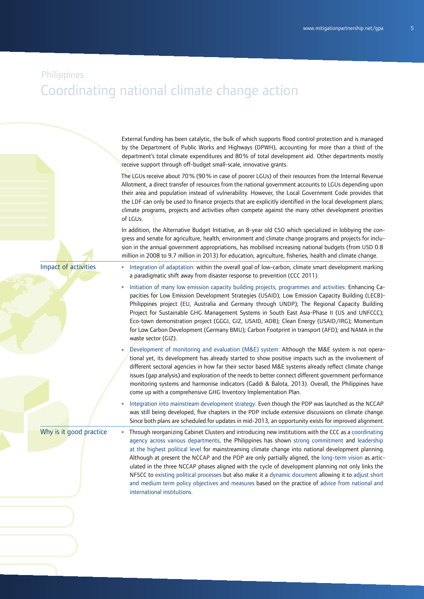External funding has been catalytic, the bulk of which supports flood control protection and is managed by the Department of Public Works and Highways (DPWH), accounting for more than a third of the department's total climate expenditures and 80% of total development aid. Other departments mostly receive support through off-budget small-scale, innovative grants.

The LGUs receive about 70% (90% in case of poorer LGUs) of their resources from the Internal Revenue Allotment, a direct transfer of resources from the national government accounts to LGUs depending upon their area and population instead of vulnerability. However, the Local Government Code provides that the LDF can only be used to finance projects that are explicitly identified in the local development plans; climate programs, projects and activities often compete against the many other development priorities of LGUs.

In addition, the Alternative Budget Initiative, an 8-year old CSO which specialized in lobbying the congress and senate for agriculture, health, environment and climate change programs and projects for inclusion in the annual government appropriations, has mobilised increasing national budgets (from USD 0.8) million in 2008 to 9.7 million in 2013) for education, agriculture, fisheries, health and climate change.

Impact of activities

- Integration of adaptation: within the overall goal of low-carbon, climate smart development marking a paradigmatic shift away from disaster response to prevention (CCC 2011).
- » Initiation of many low emission capacity building projects, programmes and activities: Enhancing Capacities for Low Emission Development Strategies (USAID); Low Emission Capacity Building (LECB)- Philippines project (EU, Australia and Germany through UNDP); The Regional Capacity Building Project for Sustainable GHG Management Systems in South East Asia-Phase II (US and UNFCCC); Eco-town demonstration project (GGGI, GIZ, USAID, ADB); Clean Energy (USAID/IRG); Momentum for Low Carbon Development (Germany BMU); Carbon Footprint in transport (AFD); and NAMA in the waste sector (GIZ).
- » Development of monitoring and evaluation (M&E) system: Although the M&E system is not operational yet, its development has already started to show positive impacts such as the involvement of different sectoral agencies in how far their sector based M&E systems already reflect climate change issues (gap analysis) and exploration of the needs to better connect different government performance monitoring systems and harmonise indicators (Gaddi & Balota, 2013). Overall, the Philippines have come up with a comprehensive GHG Inventory Implementation Plan.
- » Integration into mainstream development strategy: Even though the PDP was launched as the NCCAP was still being developed, five chapters in the PDP include extensive discussions on climate change. Since both plans are scheduled for updates in mid-2013, an opportunity exists for improved alignment.

Why is it good practice

» Through reorganizing Cabinet Clusters and introducing new institutions with the CCC as a coordinating agency across various departments, the Philippines has shown strong commitment and leadership at the highest political level for mainstreaming climate change into national development planning. Although at present the NCCAP and the PDP are only partially aligned, the long-term vision as articulated in the three NCCAP phases aligned with the cycle of development planning not only links the NFSCC to existing political processes but also make it a dynamic document allowing it to adjust short and medium term policy objectives and measures based on the practice of advice from national and international institutions.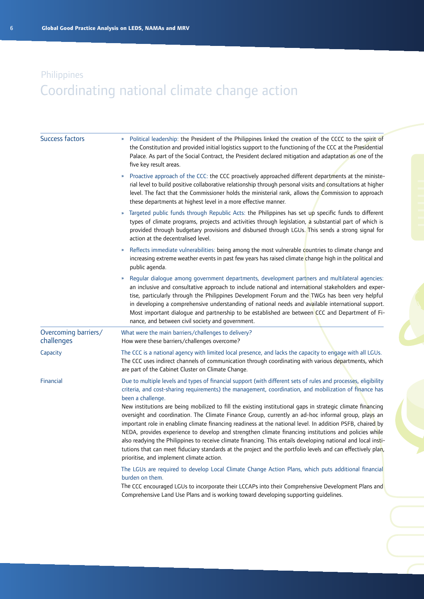| <b>Success factors</b>             | Political leadership: the President of the Philippines linked the creation of the CCCC to the spirit of<br>the Constitution and provided initial logistics support to the functioning of the CCC at the Presidential<br>Palace. As part of the Social Contract, the President declared mitigation and adaptation as one of the<br>five key result areas.                                                                                                                                                                                                                                                                                                                                                                                                                                                                                                                                                                                                                |
|------------------------------------|-------------------------------------------------------------------------------------------------------------------------------------------------------------------------------------------------------------------------------------------------------------------------------------------------------------------------------------------------------------------------------------------------------------------------------------------------------------------------------------------------------------------------------------------------------------------------------------------------------------------------------------------------------------------------------------------------------------------------------------------------------------------------------------------------------------------------------------------------------------------------------------------------------------------------------------------------------------------------|
|                                    | Proactive approach of the CCC: the CCC proactively approached different departments at the ministe-<br>»<br>rial level to build positive collaborative relationship through personal visits and consultations at higher<br>level. The fact that the Commissioner holds the ministerial rank, allows the Commission to approach<br>these departments at highest level in a more effective manner.                                                                                                                                                                                                                                                                                                                                                                                                                                                                                                                                                                        |
|                                    | Targeted public funds through Republic Acts: the Philippines has set up specific funds to different<br>types of climate programs, projects and activities through legislation, a substantial part of which is<br>provided through budgetary provisions and disbursed through LGUs. This sends a strong signal for<br>action at the decentralised level.                                                                                                                                                                                                                                                                                                                                                                                                                                                                                                                                                                                                                 |
|                                    | Reflects immediate vulnerabilities: being among the most vulnerable countries to climate change and<br>»<br>increasing extreme weather events in past few years has raised climate change high in the political and<br>public agenda.                                                                                                                                                                                                                                                                                                                                                                                                                                                                                                                                                                                                                                                                                                                                   |
|                                    | Regular dialogue among government departments, development partners and multilateral agencies:<br>»<br>an inclusive and consultative approach to include national and international stakeholders and exper-<br>tise, particularly through the Philippines Development Forum and the TWGs has been very helpful<br>in developing a comprehensive understanding of national needs and available international support.<br>Most important dialogue and partnership to be established are between CCC and Department of Fi-<br>nance, and between civil society and government.                                                                                                                                                                                                                                                                                                                                                                                             |
| Overcoming barriers/<br>challenges | What were the main barriers/challenges to delivery?<br>How were these barriers/challenges overcome?                                                                                                                                                                                                                                                                                                                                                                                                                                                                                                                                                                                                                                                                                                                                                                                                                                                                     |
| Capacity                           | The CCC is a national agency with limited local presence, and lacks the capacity to engage with all LGUs.<br>The CCC uses indirect channels of communication through coordinating with various departments, which<br>are part of the Cabinet Cluster on Climate Change.                                                                                                                                                                                                                                                                                                                                                                                                                                                                                                                                                                                                                                                                                                 |
| Financial                          | Due to multiple levels and types of financial support (with different sets of rules and processes, eligibility<br>criteria, and cost-sharing requirements) the management, coordination, and mobilization of finance has<br>been a challenge.<br>New institutions are being mobilized to fill the existing institutional gaps in strategic climate financing<br>oversight and coordination. The Climate Finance Group, currently an ad-hoc informal group, plays an<br>important role in enabling climate financing readiness at the national level. In addition PSFB, chaired by<br>NEDA, provides experience to develop and strengthen climate financing institutions and policies while<br>also readying the Philippines to receive climate financing. This entails developing national and local insti-<br>tutions that can meet fiduciary standards at the project and the portfolio levels and can effectively plan,<br>prioritise, and implement climate action. |
|                                    | The LGUs are required to develop Local Climate Change Action Plans, which puts additional financial<br>burden on them.<br>The CCC encouraged LGUs to incorporate their LCCAPs into their Comprehensive Development Plans and<br>Comprehensive Land Use Plans and is working toward developing supporting guidelines.                                                                                                                                                                                                                                                                                                                                                                                                                                                                                                                                                                                                                                                    |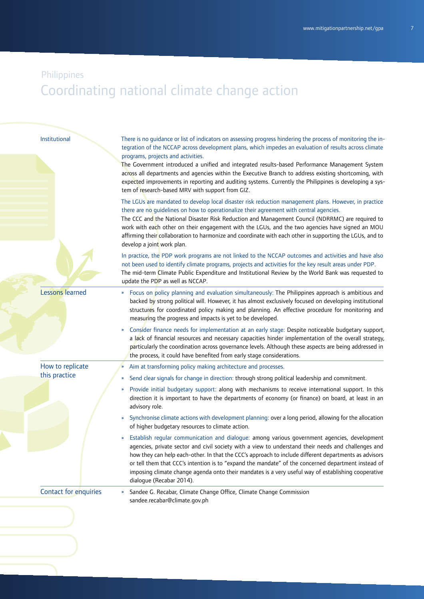| Institutional          | There is no guidance or list of indicators on assessing progress hindering the process of monitoring the in-<br>tegration of the NCCAP across development plans, which impedes an evaluation of results across climate                                                                                                                                                                                                                                                                                                                                      |
|------------------------|-------------------------------------------------------------------------------------------------------------------------------------------------------------------------------------------------------------------------------------------------------------------------------------------------------------------------------------------------------------------------------------------------------------------------------------------------------------------------------------------------------------------------------------------------------------|
|                        | programs, projects and activities.<br>The Government introduced a unified and integrated results-based Performance Management System<br>across all departments and agencies within the Executive Branch to address existing shortcoming, with<br>expected improvements in reporting and auditing systems. Currently the Philippines is developing a sys-<br>tem of research-based MRV with support from GIZ.                                                                                                                                                |
|                        | The LGUs are mandated to develop local disaster risk reduction management plans. However, in practice<br>there are no guidelines on how to operationalize their agreement with central agencies.<br>The CCC and the National Disaster Risk Reduction and Management Council (NDRRMC) are required to<br>work with each other on their engagement with the LGUs, and the two agencies have signed an MOU<br>affirming their collaboration to harmonize and coordinate with each other in supporting the LGUs, and to<br>develop a joint work plan.           |
|                        | In practice, the PDP work programs are not linked to the NCCAP outcomes and activities and have also<br>not been used to identify climate programs, projects and activities for the key result areas under PDP.<br>The mid-term Climate Public Expenditure and Institutional Review by the World Bank was requested to<br>update the PDP as well as NCCAP.                                                                                                                                                                                                  |
| <b>Lessons learned</b> | Focus on policy planning and evaluation simultaneously: The Philippines approach is ambitious and<br>»<br>backed by strong political will. However, it has almost exclusively focused on developing institutional<br>structures for coordinated policy making and planning. An effective procedure for monitoring and<br>measuring the progress and impacts is yet to be developed.                                                                                                                                                                         |
|                        | » Consider finance needs for implementation at an early stage: Despite noticeable budgetary support,<br>a lack of financial resources and necessary capacities hinder implementation of the overall strategy,<br>particularly the coordination across governance levels. Although these aspects are being addressed in<br>the process, it could have benefited from early stage considerations.                                                                                                                                                             |
| How to replicate       | Aim at transforming policy making architecture and processes.<br>$\boldsymbol{\mathcal{V}}$                                                                                                                                                                                                                                                                                                                                                                                                                                                                 |
| this practice          | Send clear signals for change in direction: through strong political leadership and commitment.<br>»                                                                                                                                                                                                                                                                                                                                                                                                                                                        |
|                        | » Provide initial budgetary support: along with mechanisms to receive international support. In this<br>direction it is important to have the departments of economy (or finance) on board, at least in an<br>advisory role.                                                                                                                                                                                                                                                                                                                                |
|                        | Synchronise climate actions with development planning: over a long period, allowing for the allocation<br>$\boldsymbol{\mathcal{V}}$<br>of higher budgetary resources to climate action.                                                                                                                                                                                                                                                                                                                                                                    |
|                        | Establish regular communication and dialogue: among various government agencies, development<br>»<br>agencies, private sector and civil society with a view to understand their needs and challenges and<br>how they can help each-other. In that the CCC's approach to include different departments as advisors<br>or tell them that CCC's intention is to "expand the mandate" of the concerned department instead of<br>imposing climate change agenda onto their mandates is a very useful way of establishing cooperative<br>dialoque (Recabar 2014). |
| Contact for enquiries  | Sandee G. Recabar, Climate Change Office, Climate Change Commission<br>»<br>sandee.recabar@climate.gov.ph                                                                                                                                                                                                                                                                                                                                                                                                                                                   |
|                        |                                                                                                                                                                                                                                                                                                                                                                                                                                                                                                                                                             |